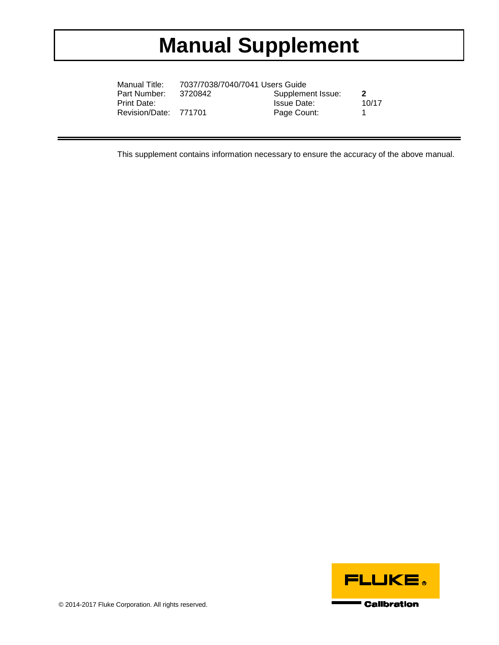## **Manual Supplement**

| Manual Title:         | 7037/7038/7040/7041 Users Guide |                    |              |
|-----------------------|---------------------------------|--------------------|--------------|
| Part Number:          | 3720842                         | Supplement Issue:  | $\mathbf{2}$ |
| Print Date:           |                                 | <b>Issue Date:</b> | 10/17        |
| Revision/Date: 771701 |                                 | Page Count:        |              |

This supplement contains information necessary to ensure the accuracy of the above manual.